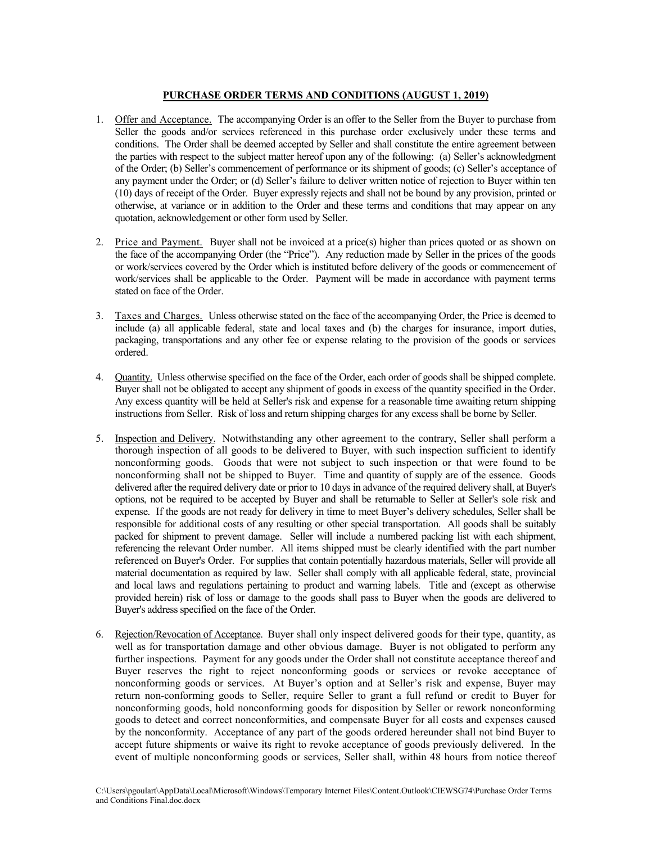## **PURCHASE ORDER TERMS AND CONDITIONS (AUGUST 1, 2019)**

- 1. Offer and Acceptance. The accompanying Order is an offer to the Seller from the Buyer to purchase from Seller the goods and/or services referenced in this purchase order exclusively under these terms and conditions. The Order shall be deemed accepted by Seller and shall constitute the entire agreement between the parties with respect to the subject matter hereof upon any of the following: (a) Seller's acknowledgment of the Order; (b) Seller's commencement of performance or its shipment of goods; (c) Seller's acceptance of any payment under the Order; or (d) Seller's failure to deliver written notice of rejection to Buyer within ten (10) days of receipt of the Order. Buyer expressly rejects and shall not be bound by any provision, printed or otherwise, at variance or in addition to the Order and these terms and conditions that may appear on any quotation, acknowledgement or other form used by Seller.
- 2. Price and Payment. Buyer shall not be invoiced at a price(s) higher than prices quoted or as shown on the face of the accompanying Order (the "Price"). Any reduction made by Seller in the prices of the goods or work/services covered by the Order which is instituted before delivery of the goods or commencement of work/services shall be applicable to the Order. Payment will be made in accordance with payment terms stated on face of the Order.
- 3. Taxes and Charges. Unless otherwise stated on the face of the accompanying Order, the Price is deemed to include (a) all applicable federal, state and local taxes and (b) the charges for insurance, import duties, packaging, transportations and any other fee or expense relating to the provision of the goods or services ordered.
- 4. Quantity. Unless otherwise specified on the face of the Order, each order of goods shall be shipped complete. Buyer shall not be obligated to accept any shipment of goods in excess of the quantity specified in the Order. Any excess quantity will be held at Seller's risk and expense for a reasonable time awaiting return shipping instructions from Seller. Risk of loss and return shipping charges for any excess shall be borne by Seller.
- 5. Inspection and Delivery. Notwithstanding any other agreement to the contrary, Seller shall perform a thorough inspection of all goods to be delivered to Buyer, with such inspection sufficient to identify nonconforming goods. Goods that were not subject to such inspection or that were found to be nonconforming shall not be shipped to Buyer. Time and quantity of supply are of the essence. Goods delivered after the required delivery date or prior to 10 days in advance of the required delivery shall, at Buyer's options, not be required to be accepted by Buyer and shall be returnable to Seller at Seller's sole risk and expense. If the goods are not ready for delivery in time to meet Buyer's delivery schedules, Seller shall be responsible for additional costs of any resulting or other special transportation. All goods shall be suitably packed for shipment to prevent damage. Seller will include a numbered packing list with each shipment, referencing the relevant Order number. All items shipped must be clearly identified with the part number referenced on Buyer's Order. For supplies that contain potentially hazardous materials, Seller will provide all material documentation as required by law. Seller shall comply with all applicable federal, state, provincial and local laws and regulations pertaining to product and warning labels. Title and (except as otherwise provided herein) risk of loss or damage to the goods shall pass to Buyer when the goods are delivered to Buyer's address specified on the face of the Order.
- 6. Rejection/Revocation of Acceptance. Buyer shall only inspect delivered goods for their type, quantity, as well as for transportation damage and other obvious damage. Buyer is not obligated to perform any further inspections. Payment for any goods under the Order shall not constitute acceptance thereof and Buyer reserves the right to reject nonconforming goods or services or revoke acceptance of nonconforming goods or services. At Buyer's option and at Seller's risk and expense, Buyer may return non-conforming goods to Seller, require Seller to grant a full refund or credit to Buyer for nonconforming goods, hold nonconforming goods for disposition by Seller or rework nonconforming goods to detect and correct nonconformities, and compensate Buyer for all costs and expenses caused by the nonconformity. Acceptance of any part of the goods ordered hereunder shall not bind Buyer to accept future shipments or waive its right to revoke acceptance of goods previously delivered. In the event of multiple nonconforming goods or services, Seller shall, within 48 hours from notice thereof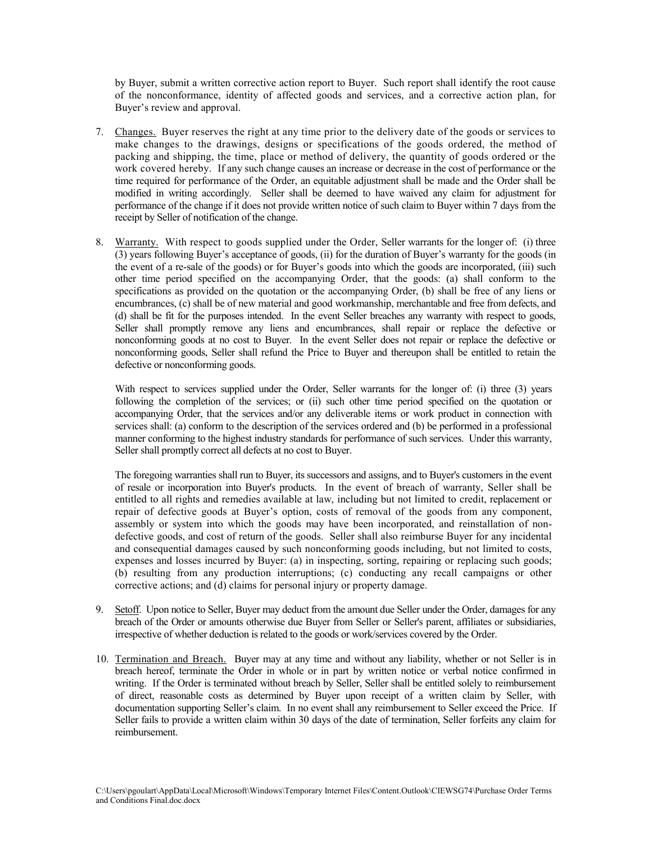by Buyer, submit a written corrective action report to Buyer. Such report shall identify the root cause of the nonconformance, identity of affected goods and services, and a corrective action plan, for Buyer's review and approval.

- 7. Changes. Buyer reserves the right at any time prior to the delivery date of the goods or services to make changes to the drawings, designs or specifications of the goods ordered, the method of packing and shipping, the time, place or method of delivery, the quantity of goods ordered or the work covered hereby. If any such change causes an increase or decrease in the cost of performance or the time required for performance of the Order, an equitable adjustment shall be made and the Order shall be modified in writing accordingly. Seller shall be deemed to have waived any claim for adjustment for performance of the change if it does not provide written notice of such claim to Buyer within 7 days from the receipt by Seller of notification of the change.
- 8. Warranty.With respect to goods supplied under the Order, Seller warrants for the longer of: (i) three (3) years following Buyer's acceptance of goods, (ii) for the duration of Buyer's warranty for the goods (in the event of a re-sale of the goods) or for Buyer's goods into which the goods are incorporated, (iii) such other time period specified on the accompanying Order, that the goods: (a) shall conform to the specifications as provided on the quotation or the accompanying Order, (b) shall be free of any liens or encumbrances, (c) shall be of new material and good workmanship, merchantable and free from defects, and (d) shall be fit for the purposes intended. In the event Seller breaches any warranty with respect to goods, Seller shall promptly remove any liens and encumbrances, shall repair or replace the defective or nonconforming goods at no cost to Buyer. In the event Seller does not repair or replace the defective or nonconforming goods, Seller shall refund the Price to Buyer and thereupon shall be entitled to retain the defective or nonconforming goods.

With respect to services supplied under the Order, Seller warrants for the longer of: (i) three (3) years following the completion of the services; or (ii) such other time period specified on the quotation or accompanying Order, that the services and/or any deliverable items or work product in connection with services shall: (a) conform to the description of the services ordered and (b) be performed in a professional manner conforming to the highest industry standards for performance of such services. Under this warranty, Seller shall promptly correct all defects at no cost to Buyer.

The foregoing warranties shall run to Buyer, its successors and assigns, and to Buyer's customers in the event of resale or incorporation into Buyer's products. In the event of breach of warranty, Seller shall be entitled to all rights and remedies available at law, including but not limited to credit, replacement or repair of defective goods at Buyer's option, costs of removal of the goods from any component, assembly or system into which the goods may have been incorporated, and reinstallation of nondefective goods, and cost of return of the goods. Seller shall also reimburse Buyer for any incidental and consequential damages caused by such nonconforming goods including, but not limited to costs, expenses and losses incurred by Buyer: (a) in inspecting, sorting, repairing or replacing such goods; (b) resulting from any production interruptions; (c) conducting any recall campaigns or other corrective actions; and (d) claims for personal injury or property damage.

- 9. Setoff. Upon notice to Seller, Buyer may deduct from the amount due Seller under the Order, damages for any breach of the Order or amounts otherwise due Buyer from Seller or Seller's parent, affiliates or subsidiaries, irrespective of whether deduction is related to the goods or work/services covered by the Order.
- 10. Termination and Breach. Buyer may at any time and without any liability, whether or not Seller is in breach hereof, terminate the Order in whole or in part by written notice or verbal notice confirmed in writing. If the Order is terminated without breach by Seller, Seller shall be entitled solely to reimbursement of direct, reasonable costs as determined by Buyer upon receipt of a written claim by Seller, with documentation supporting Seller's claim. In no event shall any reimbursement to Seller exceed the Price. If Seller fails to provide a written claim within 30 days of the date of termination, Seller forfeits any claim for reimbursement.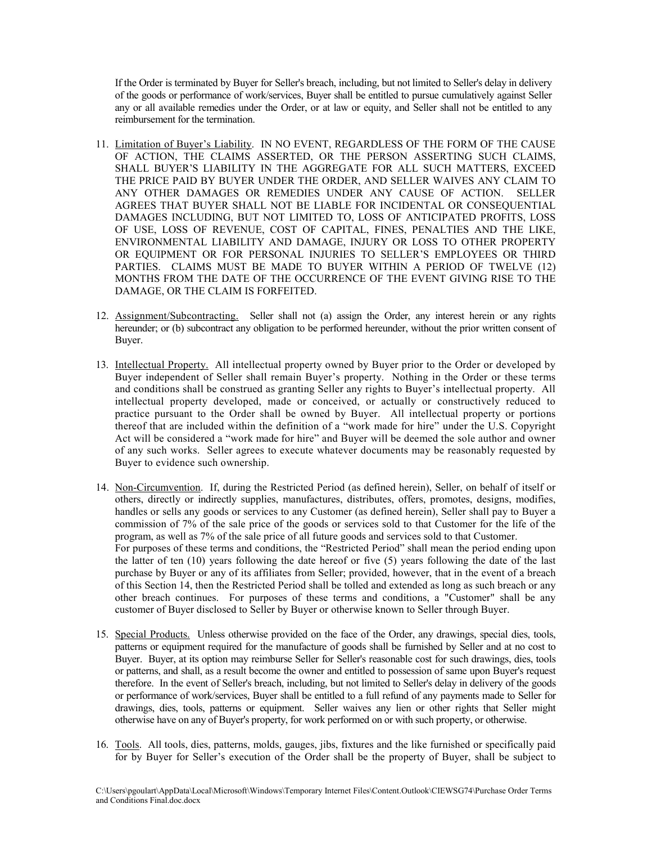If the Order is terminated by Buyer for Seller's breach, including, but not limited to Seller's delay in delivery of the goods or performance of work/services, Buyer shall be entitled to pursue cumulatively against Seller any or all available remedies under the Order, or at law or equity, and Seller shall not be entitled to any reimbursement for the termination.

- 11. Limitation of Buyer's Liability. IN NO EVENT, REGARDLESS OF THE FORM OF THE CAUSE OF ACTION, THE CLAIMS ASSERTED, OR THE PERSON ASSERTING SUCH CLAIMS, SHALL BUYER'S LIABILITY IN THE AGGREGATE FOR ALL SUCH MATTERS, EXCEED THE PRICE PAID BY BUYER UNDER THE ORDER, AND SELLER WAIVES ANY CLAIM TO ANY OTHER DAMAGES OR REMEDIES UNDER ANY CAUSE OF ACTION. SELLER AGREES THAT BUYER SHALL NOT BE LIABLE FOR INCIDENTAL OR CONSEQUENTIAL DAMAGES INCLUDING, BUT NOT LIMITED TO, LOSS OF ANTICIPATED PROFITS, LOSS OF USE, LOSS OF REVENUE, COST OF CAPITAL, FINES, PENALTIES AND THE LIKE, ENVIRONMENTAL LIABILITY AND DAMAGE, INJURY OR LOSS TO OTHER PROPERTY OR EQUIPMENT OR FOR PERSONAL INJURIES TO SELLER'S EMPLOYEES OR THIRD PARTIES. CLAIMS MUST BE MADE TO BUYER WITHIN A PERIOD OF TWELVE (12) MONTHS FROM THE DATE OF THE OCCURRENCE OF THE EVENT GIVING RISE TO THE DAMAGE, OR THE CLAIM IS FORFEITED.
- 12. Assignment/Subcontracting. Seller shall not (a) assign the Order, any interest herein or any rights hereunder; or (b) subcontract any obligation to be performed hereunder, without the prior written consent of Buyer.
- 13. Intellectual Property. All intellectual property owned by Buyer prior to the Order or developed by Buyer independent of Seller shall remain Buyer's property. Nothing in the Order or these terms and conditions shall be construed as granting Seller any rights to Buyer's intellectual property. All intellectual property developed, made or conceived, or actually or constructively reduced to practice pursuant to the Order shall be owned by Buyer. All intellectual property or portions thereof that are included within the definition of a "work made for hire" under the U.S. Copyright Act will be considered a "work made for hire" and Buyer will be deemed the sole author and owner of any such works. Seller agrees to execute whatever documents may be reasonably requested by Buyer to evidence such ownership.
- 14. Non-Circumvention. If, during the Restricted Period (as defined herein), Seller, on behalf of itself or others, directly or indirectly supplies, manufactures, distributes, offers, promotes, designs, modifies, handles or sells any goods or services to any Customer (as defined herein), Seller shall pay to Buyer a commission of 7% of the sale price of the goods or services sold to that Customer for the life of the program, as well as 7% of the sale price of all future goods and services sold to that Customer. For purposes of these terms and conditions, the "Restricted Period" shall mean the period ending upon the latter of ten (10) years following the date hereof or five (5) years following the date of the last purchase by Buyer or any of its affiliates from Seller; provided, however, that in the event of a breach of this Section 14, then the Restricted Period shall be tolled and extended as long as such breach or any other breach continues. For purposes of these terms and conditions, a "Customer" shall be any customer of Buyer disclosed to Seller by Buyer or otherwise known to Seller through Buyer.
- 15. Special Products. Unless otherwise provided on the face of the Order, any drawings, special dies, tools, patterns or equipment required for the manufacture of goods shall be furnished by Seller and at no cost to Buyer. Buyer, at its option may reimburse Seller for Seller's reasonable cost for such drawings, dies, tools or patterns, and shall, as a result become the owner and entitled to possession of same upon Buyer's request therefore. In the event of Seller's breach, including, but not limited to Seller's delay in delivery of the goods or performance of work/services, Buyer shall be entitled to a full refund of any payments made to Seller for drawings, dies, tools, patterns or equipment. Seller waives any lien or other rights that Seller might otherwise have on any of Buyer's property, for work performed on or with such property, or otherwise.
- 16. Tools. All tools, dies, patterns, molds, gauges, jibs, fixtures and the like furnished or specifically paid for by Buyer for Seller's execution of the Order shall be the property of Buyer, shall be subject to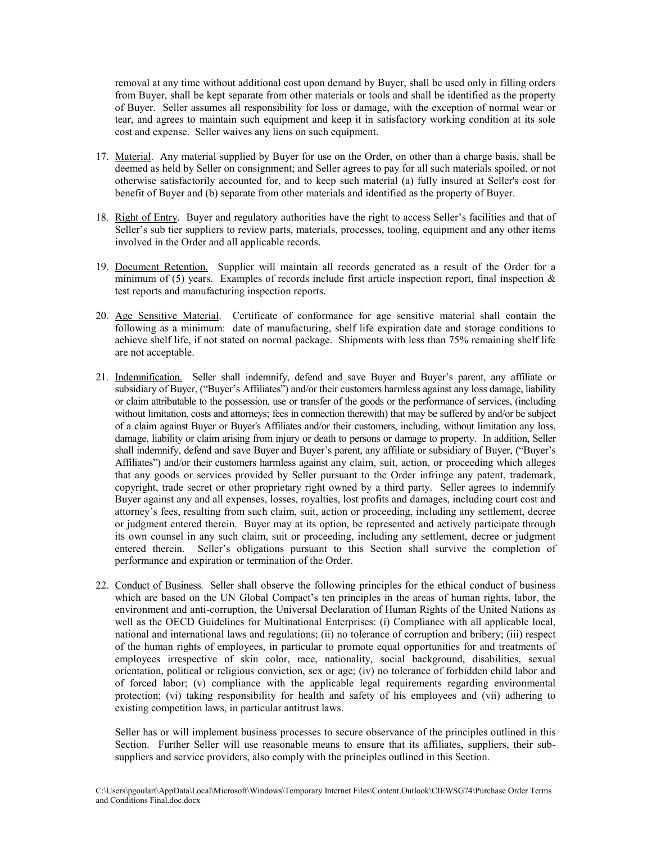removal at any time without additional cost upon demand by Buyer, shall be used only in filling orders from Buyer, shall be kept separate from other materials or tools and shall be identified as the property of Buyer. Seller assumes all responsibility for loss or damage, with the exception of normal wear or tear, and agrees to maintain such equipment and keep it in satisfactory working condition at its sole cost and expense. Seller waives any liens on such equipment.

- 17. Material. Any material supplied by Buyer for use on the Order, on other than a charge basis, shall be deemed as held by Seller on consignment; and Seller agrees to pay for all such materials spoiled, or not otherwise satisfactorily accounted for, and to keep such material (a) fully insured at Seller's cost for benefit of Buyer and (b) separate from other materials and identified as the property of Buyer.
- 18. Right of Entry. Buyer and regulatory authorities have the right to access Seller's facilities and that of Seller's sub tier suppliers to review parts, materials, processes, tooling, equipment and any other items involved in the Order and all applicable records.
- 19. Document Retention. Supplier will maintain all records generated as a result of the Order for a minimum of (5) years. Examples of records include first article inspection report, final inspection  $\&$ test reports and manufacturing inspection reports.
- 20. Age Sensitive Material. Certificate of conformance for age sensitive material shall contain the following as a minimum: date of manufacturing, shelf life expiration date and storage conditions to achieve shelf life, if not stated on normal package. Shipments with less than 75% remaining shelf life are not acceptable.
- 21. Indemnification. Seller shall indemnify, defend and save Buyer and Buyer's parent, any affiliate or subsidiary of Buyer, ("Buyer's Affiliates") and/or their customers harmless against any loss damage, liability or claim attributable to the possession, use or transfer of the goods or the performance of services, (including without limitation, costs and attorneys; fees in connection therewith) that may be suffered by and/or be subject of a claim against Buyer or Buyer's Affiliates and/or their customers, including, without limitation any loss, damage, liability or claim arising from injury or death to persons or damage to property. In addition, Seller shall indemnify, defend and save Buyer and Buyer's parent, any affiliate or subsidiary of Buyer, ("Buyer's Affiliates") and/or their customers harmless against any claim, suit, action, or proceeding which alleges that any goods or services provided by Seller pursuant to the Order infringe any patent, trademark, copyright, trade secret or other proprietary right owned by a third party. Seller agrees to indemnify Buyer against any and all expenses, losses, royalties, lost profits and damages, including court cost and attorney's fees, resulting from such claim, suit, action or proceeding, including any settlement, decree or judgment entered therein. Buyer may at its option, be represented and actively participate through its own counsel in any such claim, suit or proceeding, including any settlement, decree or judgment entered therein. Seller's obligations pursuant to this Section shall survive the completion of performance and expiration or termination of the Order.
- 22. Conduct of Business. Seller shall observe the following principles for the ethical conduct of business which are based on the UN Global Compact's ten principles in the areas of human rights, labor, the environment and anti-corruption, the Universal Declaration of Human Rights of the United Nations as well as the OECD Guidelines for Multinational Enterprises: (i) Compliance with all applicable local, national and international laws and regulations; (ii) no tolerance of corruption and bribery; (iii) respect of the human rights of employees, in particular to promote equal opportunities for and treatments of employees irrespective of skin color, race, nationality, social background, disabilities, sexual orientation, political or religious conviction, sex or age; (iv) no tolerance of forbidden child labor and of forced labor; (v) compliance with the applicable legal requirements regarding environmental protection; (vi) taking responsibility for health and safety of his employees and (vii) adhering to existing competition laws, in particular antitrust laws.

Seller has or will implement business processes to secure observance of the principles outlined in this Section. Further Seller will use reasonable means to ensure that its affiliates, suppliers, their subsuppliers and service providers, also comply with the principles outlined in this Section.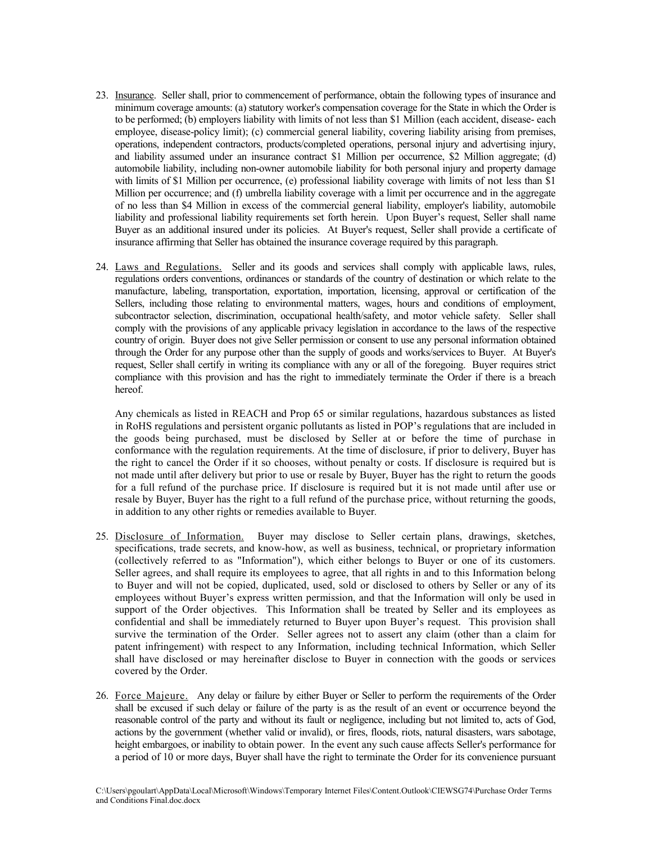- 23. Insurance. Seller shall, prior to commencement of performance, obtain the following types of insurance and minimum coverage amounts: (a) statutory worker's compensation coverage for the State in which the Order is to be performed; (b) employers liability with limits of not less than \$1 Million (each accident, disease- each employee, disease-policy limit); (c) commercial general liability, covering liability arising from premises, operations, independent contractors, products/completed operations, personal injury and advertising injury, and liability assumed under an insurance contract \$1 Million per occurrence, \$2 Million aggregate; (d) automobile liability, including non-owner automobile liability for both personal injury and property damage with limits of \$1 Million per occurrence, (e) professional liability coverage with limits of not less than \$1 Million per occurrence; and (f) umbrella liability coverage with a limit per occurrence and in the aggregate of no less than \$4 Million in excess of the commercial general liability, employer's liability, automobile liability and professional liability requirements set forth herein. Upon Buyer's request, Seller shall name Buyer as an additional insured under its policies. At Buyer's request, Seller shall provide a certificate of insurance affirming that Seller has obtained the insurance coverage required by this paragraph.
- 24. Laws and Regulations. Seller and its goods and services shall comply with applicable laws, rules, regulations orders conventions, ordinances or standards of the country of destination or which relate to the manufacture, labeling, transportation, exportation, importation, licensing, approval or certification of the Sellers, including those relating to environmental matters, wages, hours and conditions of employment, subcontractor selection, discrimination, occupational health/safety, and motor vehicle safety. Seller shall comply with the provisions of any applicable privacy legislation in accordance to the laws of the respective country of origin. Buyer does not give Seller permission or consent to use any personal information obtained through the Order for any purpose other than the supply of goods and works/services to Buyer. At Buyer's request, Seller shall certify in writing its compliance with any or all of the foregoing. Buyer requires strict compliance with this provision and has the right to immediately terminate the Order if there is a breach hereof.

Any chemicals as listed in REACH and Prop 65 or similar regulations, hazardous substances as listed in RoHS regulations and persistent organic pollutants as listed in POP's regulations that are included in the goods being purchased, must be disclosed by Seller at or before the time of purchase in conformance with the regulation requirements. At the time of disclosure, if prior to delivery, Buyer has the right to cancel the Order if it so chooses, without penalty or costs. If disclosure is required but is not made until after delivery but prior to use or resale by Buyer, Buyer has the right to return the goods for a full refund of the purchase price. If disclosure is required but it is not made until after use or resale by Buyer, Buyer has the right to a full refund of the purchase price, without returning the goods, in addition to any other rights or remedies available to Buyer*.*

- 25. Disclosure of Information. Buyer may disclose to Seller certain plans, drawings, sketches, specifications, trade secrets, and know-how, as well as business, technical, or proprietary information (collectively referred to as "Information"), which either belongs to Buyer or one of its customers. Seller agrees, and shall require its employees to agree, that all rights in and to this Information belong to Buyer and will not be copied, duplicated, used, sold or disclosed to others by Seller or any of its employees without Buyer's express written permission, and that the Information will only be used in support of the Order objectives. This Information shall be treated by Seller and its employees as confidential and shall be immediately returned to Buyer upon Buyer's request. This provision shall survive the termination of the Order. Seller agrees not to assert any claim (other than a claim for patent infringement) with respect to any Information, including technical Information, which Seller shall have disclosed or may hereinafter disclose to Buyer in connection with the goods or services covered by the Order.
- 26. Force Majeure. Any delay or failure by either Buyer or Seller to perform the requirements of the Order shall be excused if such delay or failure of the party is as the result of an event or occurrence beyond the reasonable control of the party and without its fault or negligence, including but not limited to, acts of God, actions by the government (whether valid or invalid), or fires, floods, riots, natural disasters, wars sabotage, height embargoes, or inability to obtain power. In the event any such cause affects Seller's performance for a period of 10 or more days, Buyer shall have the right to terminate the Order for its convenience pursuant